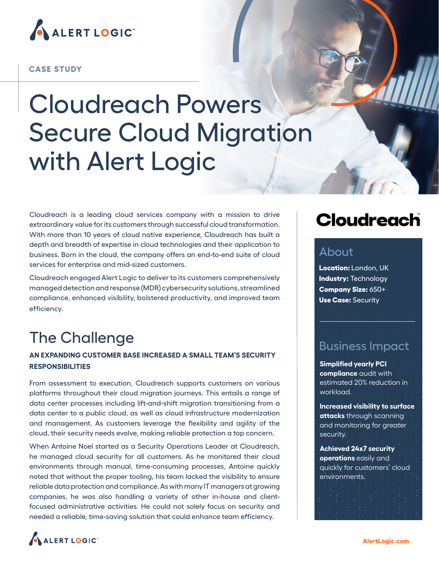

#### **CASE STUDY**

# Cloudreach Powers Secure Cloud Migration with Alert Logic

Cloudreach is a leading cloud services company with a mission to drive extraordinary value for its customers through successful cloud transformation. With more than 10 years of cloud native experience, Cloudreach has built a depth and breadth of expertise in cloud technologies and their application to business. Born in the cloud, the company offers an end-to-end suite of cloud services for enterprise and mid-sized customers.

Cloudreach engaged Alert Logic to deliver to its customers comprehensively managed detection and response (MDR) cybersecurity solutions, streamlined compliance, enhanced visibility, bolstered productivity, and improved team efficiency.

# The Challenge

### **AN EXPANDING CUSTOMER BASE INCREASED A SMALL TEAM'S SECURITY RESPONSIBILITIES**

From assessment to execution, Cloudreach supports customers on various platforms throughout their cloud migration journeys. This entails a range of data center processes including lift-and-shift migration transitioning from a data center to a public cloud, as well as cloud infrastructure modernization and management. As customers leverage the flexibility and agility of the cloud, their security needs evolve, making reliable protection a top concern.

When Antoine Noel started as a Security Operations Leader at Cloudreach, he managed cloud security for all customers. As he monitored their cloud environments through manual, time-consuming processes, Antoine quickly noted that without the proper tooling, his team lacked the visibility to ensure reliable data protection and compliance. As with many IT managers at growing companies, he was also handling a variety of other in-house and clientfocused administrative activities. He could not solely focus on security and needed a reliable, time-saving solution that could enhance team efficiency.

# **Cloudreach**

### About

**Location:** London, UK **Industry:** Technology **Company Size:** 650+ **Use Case:** Security

### Business Impact

**Simplified yearly PCI compliance** audit with estimated 20% reduction in workload.

**Increased visibility to surface attacks** through scanning and monitoring for greater security.

**Achieved 24x7 security operations** easily and quickly for customers' cloud environments.

ALERT LOGIC